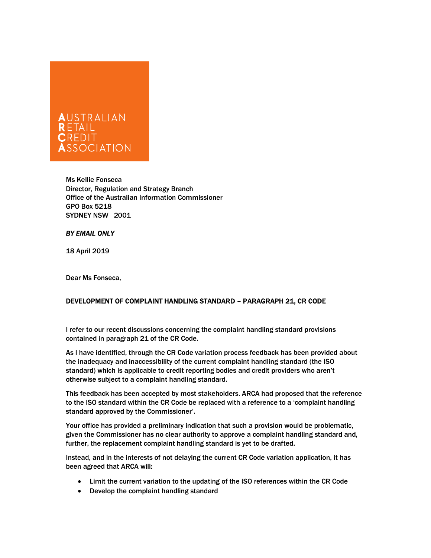

Ms Kellie Fonseca Director, Regulation and Strategy Branch Office of the Australian Information Commissioner GPO Box 5218 SYDNEY NSW 2001

## BY EMAIL ONLY

18 April 2019

Dear Ms Fonseca,

## DEVELOPMENT OF COMPLAINT HANDLING STANDARD – PARAGRAPH 21, CR CODE

I refer to our recent discussions concerning the complaint handling standard provisions contained in paragraph 21 of the CR Code.

As I have identified, through the CR Code variation process feedback has been provided about the inadequacy and inaccessibility of the current complaint handling standard (the ISO standard) which is applicable to credit reporting bodies and credit providers who aren't otherwise subject to a complaint handling standard.

This feedback has been accepted by most stakeholders. ARCA had proposed that the reference to the ISO standard within the CR Code be replaced with a reference to a 'complaint handling standard approved by the Commissioner'.

Your office has provided a preliminary indication that such a provision would be problematic, given the Commissioner has no clear authority to approve a complaint handling standard and, further, the replacement complaint handling standard is yet to be drafted.

Instead, and in the interests of not delaying the current CR Code variation application, it has been agreed that ARCA will:

- Limit the current variation to the updating of the ISO references within the CR Code
- Develop the complaint handling standard